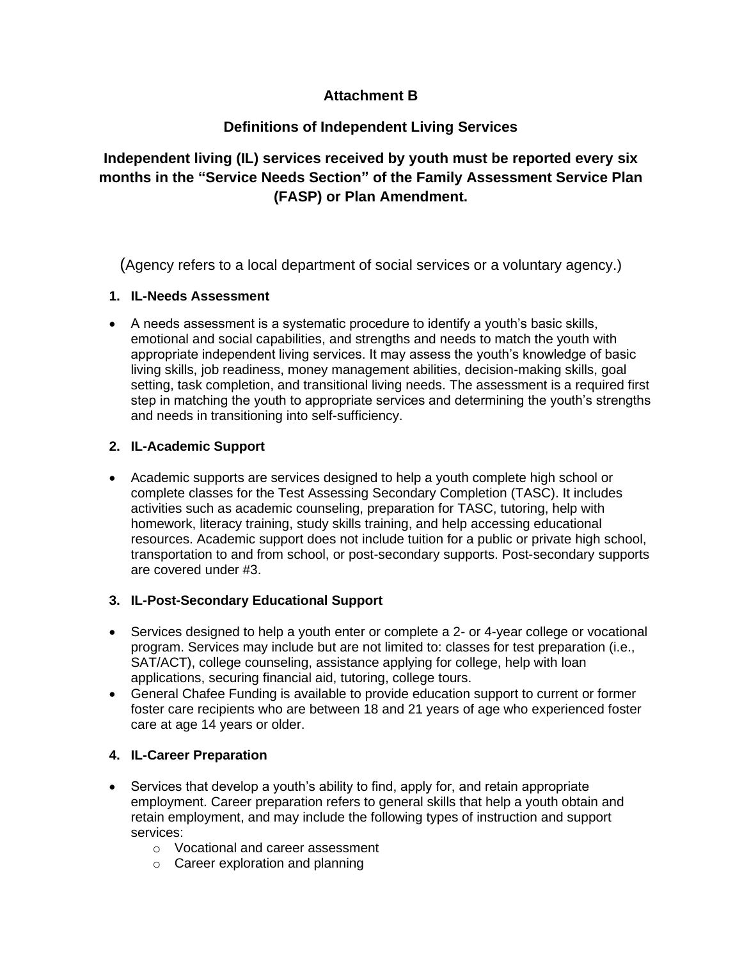# **Attachment B**

# **Definitions of Independent Living Services**

**Independent living (IL) services received by youth must be reported every six months in the "Service Needs Section" of the Family Assessment Service Plan (FASP) or Plan Amendment.**

(Agency refers to a local department of social services or a voluntary agency.)

# **1. IL-Needs Assessment**

• A needs assessment is a systematic procedure to identify a youth's basic skills, emotional and social capabilities, and strengths and needs to match the youth with appropriate independent living services. It may assess the youth's knowledge of basic living skills, job readiness, money management abilities, decision-making skills, goal setting, task completion, and transitional living needs. The assessment is a required first step in matching the youth to appropriate services and determining the youth's strengths and needs in transitioning into self-sufficiency.

# **2. IL-Academic Support**

• Academic supports are services designed to help a youth complete high school or complete classes for the Test Assessing Secondary Completion (TASC). It includes activities such as academic counseling, preparation for TASC, tutoring, help with homework, literacy training, study skills training, and help accessing educational resources. Academic support does not include tuition for a public or private high school, transportation to and from school, or post-secondary supports. Post-secondary supports are covered under #3.

# **3. IL-Post-Secondary Educational Support**

- Services designed to help a youth enter or complete a 2- or 4-year college or vocational program. Services may include but are not limited to: classes for test preparation (i.e., SAT/ACT), college counseling, assistance applying for college, help with loan applications, securing financial aid, tutoring, college tours.
- General Chafee Funding is available to provide education support to current or former foster care recipients who are between 18 and 21 years of age who experienced foster care at age 14 years or older.

# **4. IL-Career Preparation**

- Services that develop a youth's ability to find, apply for, and retain appropriate employment. Career preparation refers to general skills that help a youth obtain and retain employment, and may include the following types of instruction and support services:
	- o Vocational and career assessment
	- o Career exploration and planning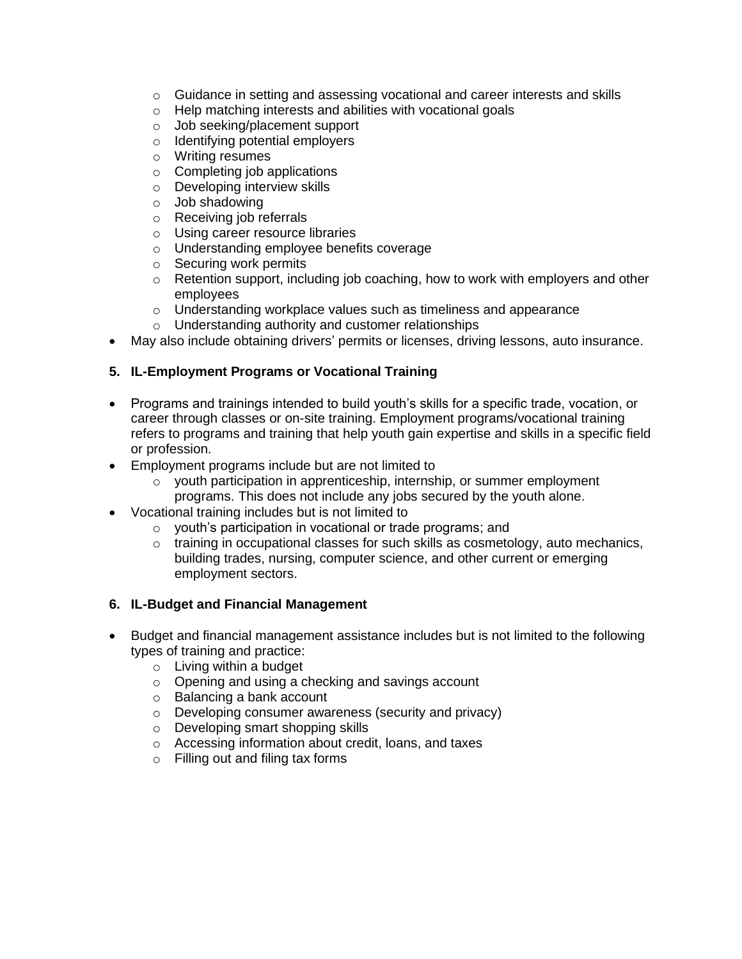- $\circ$  Guidance in setting and assessing vocational and career interests and skills
- o Help matching interests and abilities with vocational goals
- o Job seeking/placement support
- o Identifying potential employers
- o Writing resumes
- $\circ$  Completing job applications
- o Developing interview skills
- o Job shadowing
- o Receiving job referrals
- o Using career resource libraries
- o Understanding employee benefits coverage
- o Securing work permits
- o Retention support, including job coaching, how to work with employers and other employees
- o Understanding workplace values such as timeliness and appearance
- o Understanding authority and customer relationships
- May also include obtaining drivers' permits or licenses, driving lessons, auto insurance.

### **5. IL-Employment Programs or Vocational Training**

- Programs and trainings intended to build youth's skills for a specific trade, vocation, or career through classes or on-site training. Employment programs/vocational training refers to programs and training that help youth gain expertise and skills in a specific field or profession.
- Employment programs include but are not limited to
	- o youth participation in apprenticeship, internship, or summer employment programs. This does not include any jobs secured by the youth alone.
- Vocational training includes but is not limited to
	- o youth's participation in vocational or trade programs; and
	- $\circ$  training in occupational classes for such skills as cosmetology, auto mechanics, building trades, nursing, computer science, and other current or emerging employment sectors.

### **6. IL-Budget and Financial Management**

- Budget and financial management assistance includes but is not limited to the following types of training and practice:
	- o Living within a budget
	- o Opening and using a checking and savings account
	- o Balancing a bank account
	- o Developing consumer awareness (security and privacy)
	- o Developing smart shopping skills
	- o Accessing information about credit, loans, and taxes
	- o Filling out and filing tax forms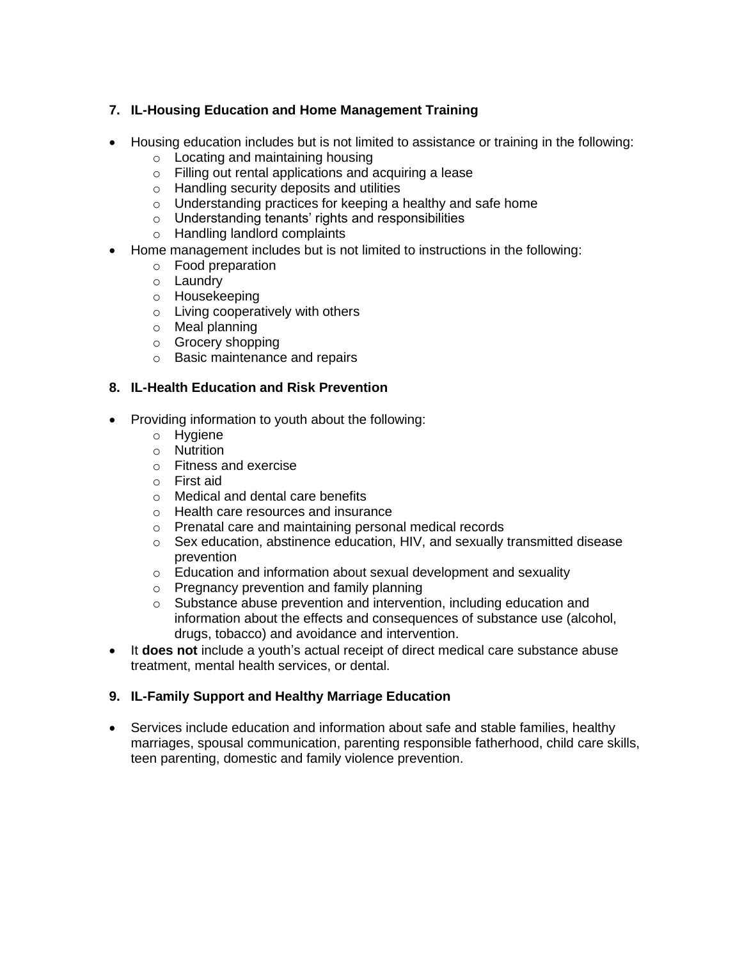# **7. IL-Housing Education and Home Management Training**

- Housing education includes but is not limited to assistance or training in the following:
	- o Locating and maintaining housing
	- o Filling out rental applications and acquiring a lease
	- o Handling security deposits and utilities
	- o Understanding practices for keeping a healthy and safe home
	- o Understanding tenants' rights and responsibilities
	- o Handling landlord complaints
- Home management includes but is not limited to instructions in the following:
	- o Food preparation
	- o Laundry
	- o Housekeeping
	- o Living cooperatively with others
	- o Meal planning
	- o Grocery shopping
	- o Basic maintenance and repairs

### **8. IL-Health Education and Risk Prevention**

- Providing information to youth about the following:
	- o Hygiene
	- o Nutrition
	- o Fitness and exercise
	- o First aid
	- o Medical and dental care benefits
	- o Health care resources and insurance
	- o Prenatal care and maintaining personal medical records
	- $\circ$  Sex education, abstinence education, HIV, and sexually transmitted disease prevention
	- o Education and information about sexual development and sexuality
	- o Pregnancy prevention and family planning
	- o Substance abuse prevention and intervention, including education and information about the effects and consequences of substance use (alcohol, drugs, tobacco) and avoidance and intervention.
- It **does not** include a youth's actual receipt of direct medical care substance abuse treatment, mental health services, or dental.

# **9. IL-Family Support and Healthy Marriage Education**

• Services include education and information about safe and stable families, healthy marriages, spousal communication, parenting responsible fatherhood, child care skills, teen parenting, domestic and family violence prevention.